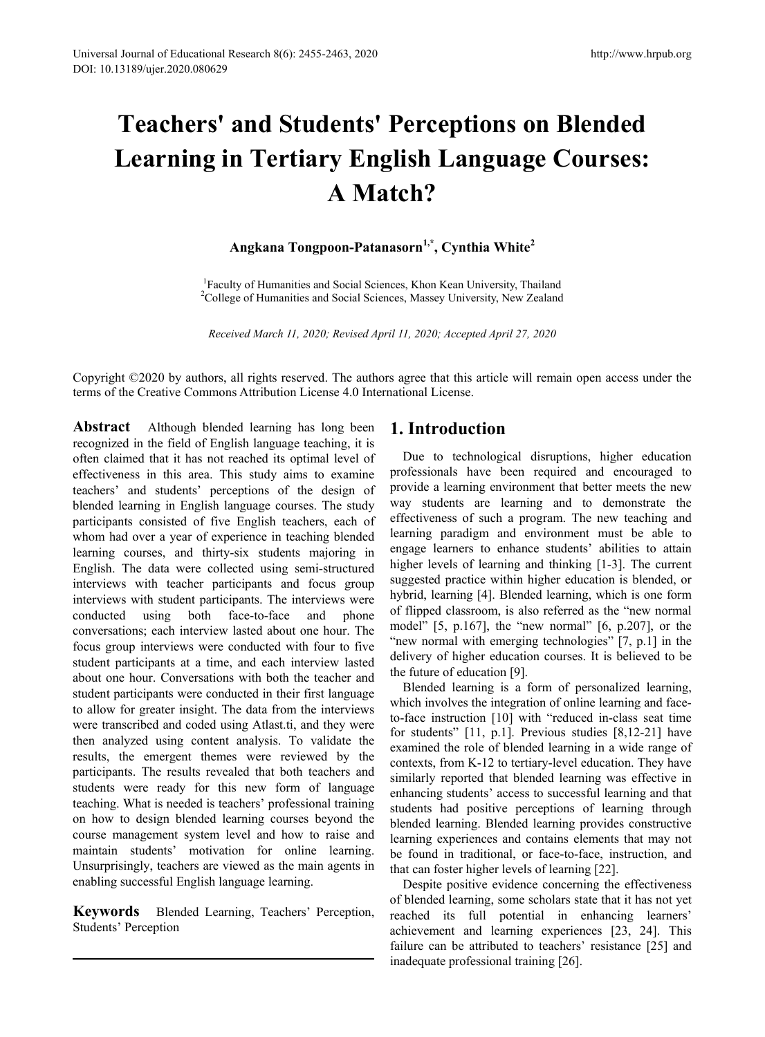# **Teachers' and Students' Perceptions on Blended Learning in Tertiary English Language Courses: A Match?**

# **Angkana Tongpoon-Patanasorn1,\*, Cynthia White2**

<sup>1</sup> Faculty of Humanities and Social Sciences, Khon Kean University, Thailand <sup>2</sup>College of Humanities and Social Sciences, Massey University, New Zealand <sup>2</sup>College of Humanities and Social Sciences, Massey University, New Zealand

*Received March 11, 2020; Revised April 11, 2020; Accepted April 27, 2020*

Copyright ©2020 by authors, all rights reserved. The authors agree that this article will remain open access under the terms of the Creative Commons Attribution License 4.0 International License.

**Abstract** Although blended learning has long been recognized in the field of English language teaching, it is often claimed that it has not reached its optimal level of effectiveness in this area. This study aims to examine teachers' and students' perceptions of the design of blended learning in English language courses. The study participants consisted of five English teachers, each of whom had over a year of experience in teaching blended learning courses, and thirty-six students majoring in English. The data were collected using semi-structured interviews with teacher participants and focus group interviews with student participants. The interviews were conducted using both face-to-face and phone conversations; each interview lasted about one hour. The focus group interviews were conducted with four to five student participants at a time, and each interview lasted about one hour. Conversations with both the teacher and student participants were conducted in their first language to allow for greater insight. The data from the interviews were transcribed and coded using Atlast.ti, and they were then analyzed using content analysis. To validate the results, the emergent themes were reviewed by the participants. The results revealed that both teachers and students were ready for this new form of language teaching. What is needed is teachers' professional training on how to design blended learning courses beyond the course management system level and how to raise and maintain students' motivation for online learning. Unsurprisingly, teachers are viewed as the main agents in enabling successful English language learning.

**Keywords** Blended Learning, Teachers' Perception, Students' Perception

# **1. Introduction**

Due to technological disruptions, higher education professionals have been required and encouraged to provide a learning environment that better meets the new way students are learning and to demonstrate the effectiveness of such a program. The new teaching and learning paradigm and environment must be able to engage learners to enhance students' abilities to attain higher levels of learning and thinking [1-3]. The current suggested practice within higher education is blended, or hybrid, learning [4]. Blended learning, which is one form of flipped classroom, is also referred as the "new normal model"  $[5, p.167]$ , the "new normal"  $[6, p.207]$ , or the "new normal with emerging technologies" [7, p.1] in the delivery of higher education courses. It is believed to be the future of education [9].

Blended learning is a form of personalized learning, which involves the integration of online learning and faceto-face instruction [10] with "reduced in-class seat time for students" [11, p.1]. Previous studies [8,12-21] have examined the role of blended learning in a wide range of contexts, from K-12 to tertiary-level education. They have similarly reported that blended learning was effective in enhancing students' access to successful learning and that students had positive perceptions of learning through blended learning. Blended learning provides constructive learning experiences and contains elements that may not be found in traditional, or face-to-face, instruction, and that can foster higher levels of learning [22].

Despite positive evidence concerning the effectiveness of blended learning, some scholars state that it has not yet reached its full potential in enhancing learners' achievement and learning experiences [23, 24]. This failure can be attributed to teachers' resistance [25] and inadequate professional training [26].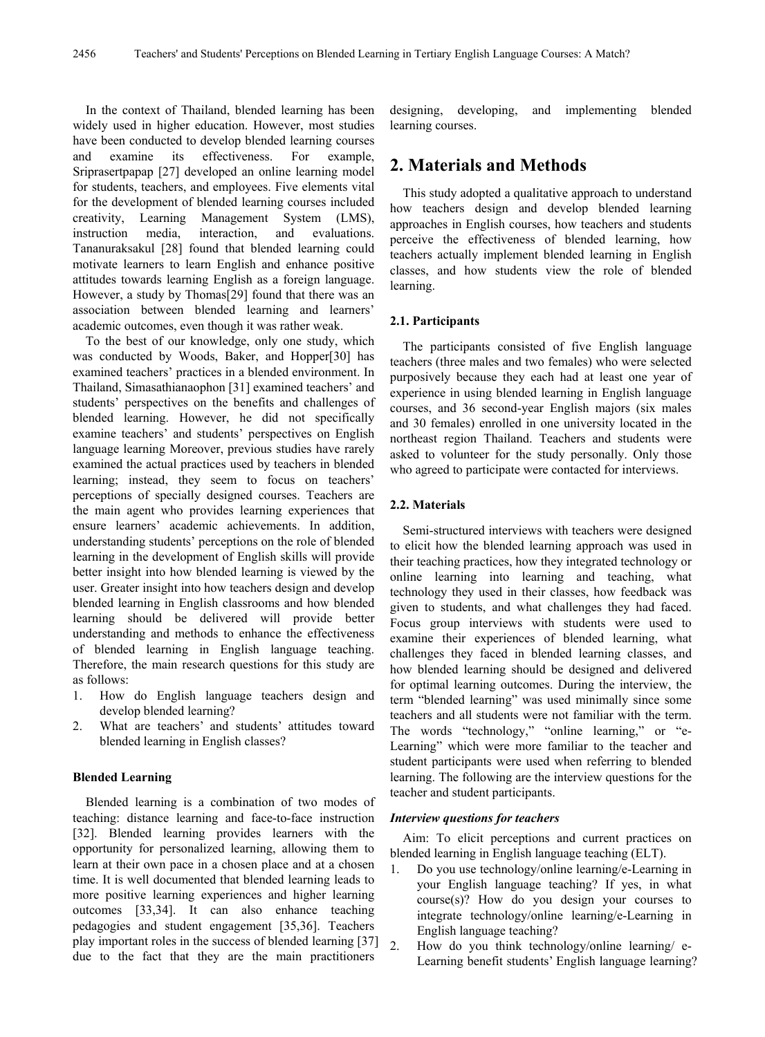In the context of Thailand, blended learning has been widely used in higher education. However, most studies have been conducted to develop blended learning courses and examine its effectiveness. For example, Sriprasertpapap [27] developed an online learning model for students, teachers, and employees. Five elements vital for the development of blended learning courses included creativity, Learning Management System (LMS), instruction media, interaction, and evaluations. Tananuraksakul [28] found that blended learning could motivate learners to learn English and enhance positive attitudes towards learning English as a foreign language. However, a study by Thomas[29] found that there was an association between blended learning and learners' academic outcomes, even though it was rather weak.

To the best of our knowledge, only one study, which was conducted by Woods, Baker, and Hopper[30] has examined teachers' practices in a blended environment. In Thailand, Simasathianaophon [31] examined teachers' and students' perspectives on the benefits and challenges of blended learning. However, he did not specifically examine teachers' and students' perspectives on English language learning Moreover, previous studies have rarely examined the actual practices used by teachers in blended learning; instead, they seem to focus on teachers' perceptions of specially designed courses. Teachers are the main agent who provides learning experiences that ensure learners' academic achievements. In addition, understanding students' perceptions on the role of blended learning in the development of English skills will provide better insight into how blended learning is viewed by the user. Greater insight into how teachers design and develop blended learning in English classrooms and how blended learning should be delivered will provide better understanding and methods to enhance the effectiveness of blended learning in English language teaching. Therefore, the main research questions for this study are as follows:

- 1. How do English language teachers design and develop blended learning?
- 2. What are teachers' and students' attitudes toward blended learning in English classes?

#### **Blended Learning**

Blended learning is a combination of two modes of teaching: distance learning and face-to-face instruction [32]. Blended learning provides learners with the opportunity for personalized learning, allowing them to learn at their own pace in a chosen place and at a chosen time. It is well documented that blended learning leads to more positive learning experiences and higher learning outcomes [33,34]. It can also enhance teaching pedagogies and student engagement [35,36]. Teachers play important roles in the success of blended learning [37] due to the fact that they are the main practitioners

designing, developing, and implementing blended learning courses.

## **2. Materials and Methods**

This study adopted a qualitative approach to understand how teachers design and develop blended learning approaches in English courses, how teachers and students perceive the effectiveness of blended learning, how teachers actually implement blended learning in English classes, and how students view the role of blended learning.

### **2.1. Participants**

The participants consisted of five English language teachers (three males and two females) who were selected purposively because they each had at least one year of experience in using blended learning in English language courses, and 36 second-year English majors (six males and 30 females) enrolled in one university located in the northeast region Thailand. Teachers and students were asked to volunteer for the study personally. Only those who agreed to participate were contacted for interviews.

### **2.2. Materials**

Semi-structured interviews with teachers were designed to elicit how the blended learning approach was used in their teaching practices, how they integrated technology or online learning into learning and teaching, what technology they used in their classes, how feedback was given to students, and what challenges they had faced. Focus group interviews with students were used to examine their experiences of blended learning, what challenges they faced in blended learning classes, and how blended learning should be designed and delivered for optimal learning outcomes. During the interview, the term "blended learning" was used minimally since some teachers and all students were not familiar with the term. The words "technology," "online learning," or "e-Learning" which were more familiar to the teacher and student participants were used when referring to blended learning. The following are the interview questions for the teacher and student participants.

#### *Interview questions for teachers*

Aim: To elicit perceptions and current practices on blended learning in English language teaching (ELT).

- 1. Do you use technology/online learning/e-Learning in your English language teaching? If yes, in what course(s)? How do you design your courses to integrate technology/online learning/e-Learning in English language teaching?
- 2. How do you think technology/online learning/ e-Learning benefit students' English language learning?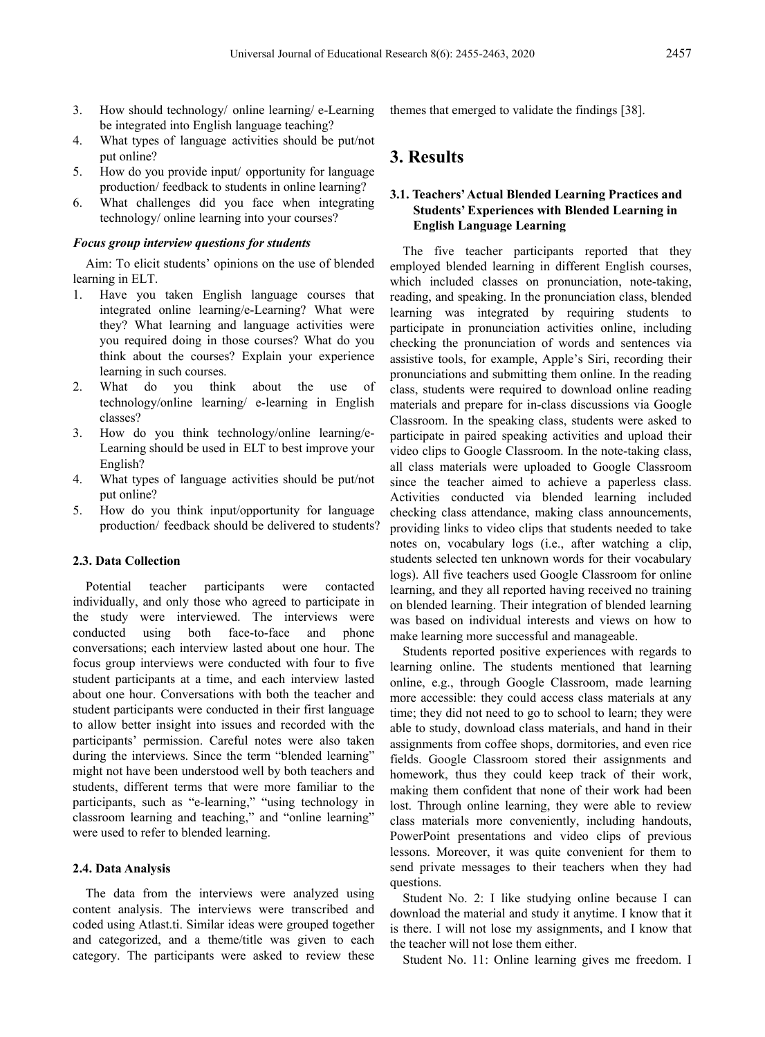- 3. How should technology/ online learning/ e-Learning be integrated into English language teaching?
- 4. What types of language activities should be put/not put online?
- 5. How do you provide input/ opportunity for language production/ feedback to students in online learning?
- 6. What challenges did you face when integrating technology/ online learning into your courses?

### *Focus group interview questions for students*

Aim: To elicit students' opinions on the use of blended learning in ELT.

- 1. Have you taken English language courses that integrated online learning/e-Learning? What were they? What learning and language activities were you required doing in those courses? What do you think about the courses? Explain your experience learning in such courses.
- 2. What do you think about the use of technology/online learning/ e-learning in English classes?
- 3. How do you think technology/online learning/e-Learning should be used in ELT to best improve your English?
- 4. What types of language activities should be put/not put online?
- 5. How do you think input/opportunity for language production/ feedback should be delivered to students?

### **2.3. Data Collection**

Potential teacher participants were contacted individually, and only those who agreed to participate in the study were interviewed. The interviews were conducted using both face-to-face and phone conversations; each interview lasted about one hour. The focus group interviews were conducted with four to five student participants at a time, and each interview lasted about one hour. Conversations with both the teacher and student participants were conducted in their first language to allow better insight into issues and recorded with the participants' permission. Careful notes were also taken during the interviews. Since the term "blended learning" might not have been understood well by both teachers and students, different terms that were more familiar to the participants, such as "e-learning," "using technology in classroom learning and teaching," and "online learning" were used to refer to blended learning.

### **2.4. Data Analysis**

The data from the interviews were analyzed using content analysis. The interviews were transcribed and coded using Atlast.ti. Similar ideas were grouped together and categorized, and a theme/title was given to each category. The participants were asked to review these themes that emerged to validate the findings [38].

# **3. Results**

### **3.1. Teachers'Actual Blended Learning Practices and Students' Experiences with Blended Learning in English Language Learning**

The five teacher participants reported that they employed blended learning in different English courses, which included classes on pronunciation, note-taking, reading, and speaking. In the pronunciation class, blended learning was integrated by requiring students to participate in pronunciation activities online, including checking the pronunciation of words and sentences via assistive tools, for example, Apple's Siri, recording their pronunciations and submitting them online. In the reading class, students were required to download online reading materials and prepare for in-class discussions via Google Classroom. In the speaking class, students were asked to participate in paired speaking activities and upload their video clips to Google Classroom. In the note-taking class, all class materials were uploaded to Google Classroom since the teacher aimed to achieve a paperless class. Activities conducted via blended learning included checking class attendance, making class announcements, providing links to video clips that students needed to take notes on, vocabulary logs (i.e., after watching a clip, students selected ten unknown words for their vocabulary logs). All five teachers used Google Classroom for online learning, and they all reported having received no training on blended learning. Their integration of blended learning was based on individual interests and views on how to make learning more successful and manageable.

Students reported positive experiences with regards to learning online. The students mentioned that learning online, e.g., through Google Classroom, made learning more accessible: they could access class materials at any time; they did not need to go to school to learn; they were able to study, download class materials, and hand in their assignments from coffee shops, dormitories, and even rice fields. Google Classroom stored their assignments and homework, thus they could keep track of their work, making them confident that none of their work had been lost. Through online learning, they were able to review class materials more conveniently, including handouts, PowerPoint presentations and video clips of previous lessons. Moreover, it was quite convenient for them to send private messages to their teachers when they had questions.

Student No. 2: I like studying online because I can download the material and study it anytime. I know that it is there. I will not lose my assignments, and I know that the teacher will not lose them either.

Student No. 11: Online learning gives me freedom. I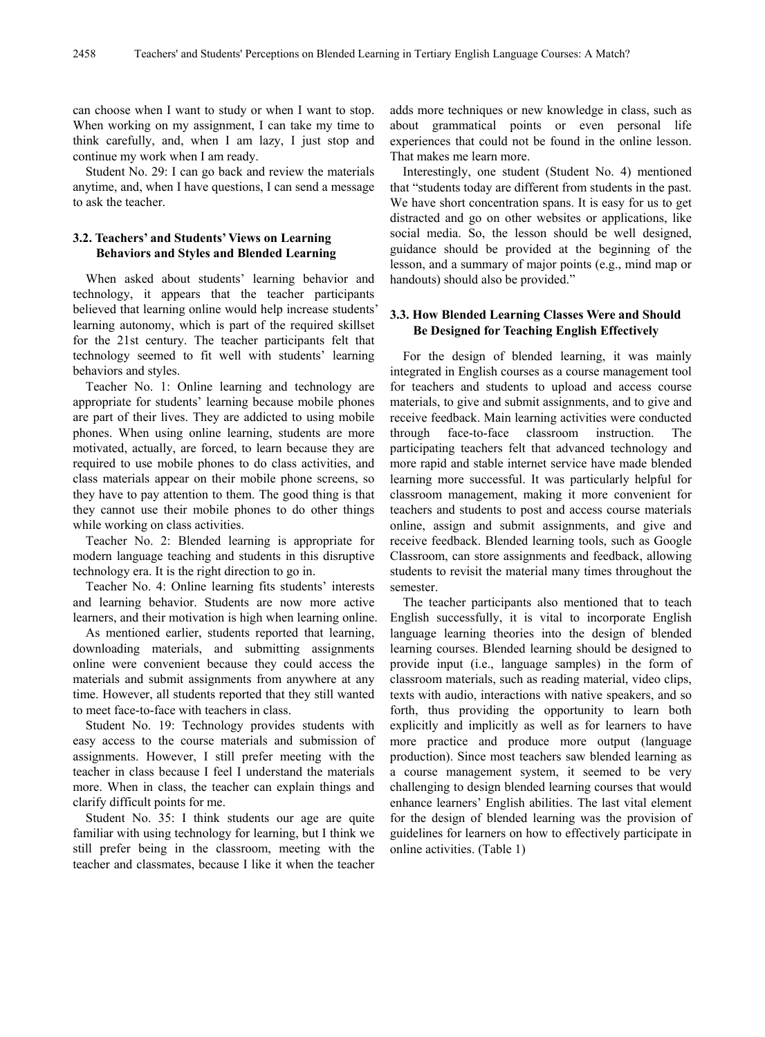can choose when I want to study or when I want to stop. When working on my assignment, I can take my time to think carefully, and, when I am lazy, I just stop and continue my work when I am ready.

Student No. 29: I can go back and review the materials anytime, and, when I have questions, I can send a message to ask the teacher.

### **3.2. Teachers' and Students' Views on Learning Behaviors and Styles and Blended Learning**

When asked about students' learning behavior and technology, it appears that the teacher participants believed that learning online would help increase students' learning autonomy, which is part of the required skillset for the 21st century. The teacher participants felt that technology seemed to fit well with students' learning behaviors and styles.

Teacher No. 1: Online learning and technology are appropriate for students' learning because mobile phones are part of their lives. They are addicted to using mobile phones. When using online learning, students are more motivated, actually, are forced, to learn because they are required to use mobile phones to do class activities, and class materials appear on their mobile phone screens, so they have to pay attention to them. The good thing is that they cannot use their mobile phones to do other things while working on class activities.

Teacher No. 2: Blended learning is appropriate for modern language teaching and students in this disruptive technology era. It is the right direction to go in.

Teacher No. 4: Online learning fits students' interests and learning behavior. Students are now more active learners, and their motivation is high when learning online.

As mentioned earlier, students reported that learning, downloading materials, and submitting assignments online were convenient because they could access the materials and submit assignments from anywhere at any time. However, all students reported that they still wanted to meet face-to-face with teachers in class.

Student No. 19: Technology provides students with easy access to the course materials and submission of assignments. However, I still prefer meeting with the teacher in class because I feel I understand the materials more. When in class, the teacher can explain things and clarify difficult points for me.

Student No. 35: I think students our age are quite familiar with using technology for learning, but I think we still prefer being in the classroom, meeting with the teacher and classmates, because I like it when the teacher

adds more techniques or new knowledge in class, such as about grammatical points or even personal life experiences that could not be found in the online lesson. That makes me learn more.

Interestingly, one student (Student No. 4) mentioned that "students today are different from students in the past. We have short concentration spans. It is easy for us to get distracted and go on other websites or applications, like social media. So, the lesson should be well designed, guidance should be provided at the beginning of the lesson, and a summary of major points (e.g., mind map or handouts) should also be provided."

### **3.3. How Blended Learning Classes Were and Should Be Designed for Teaching English Effectively**

For the design of blended learning, it was mainly integrated in English courses as a course management tool for teachers and students to upload and access course materials, to give and submit assignments, and to give and receive feedback. Main learning activities were conducted through face-to-face classroom instruction. The participating teachers felt that advanced technology and more rapid and stable internet service have made blended learning more successful. It was particularly helpful for classroom management, making it more convenient for teachers and students to post and access course materials online, assign and submit assignments, and give and receive feedback. Blended learning tools, such as Google Classroom, can store assignments and feedback, allowing students to revisit the material many times throughout the semester.

The teacher participants also mentioned that to teach English successfully, it is vital to incorporate English language learning theories into the design of blended learning courses. Blended learning should be designed to provide input (i.e., language samples) in the form of classroom materials, such as reading material, video clips, texts with audio, interactions with native speakers, and so forth, thus providing the opportunity to learn both explicitly and implicitly as well as for learners to have more practice and produce more output (language production). Since most teachers saw blended learning as a course management system, it seemed to be very challenging to design blended learning courses that would enhance learners' English abilities. The last vital element for the design of blended learning was the provision of guidelines for learners on how to effectively participate in online activities. (Table 1)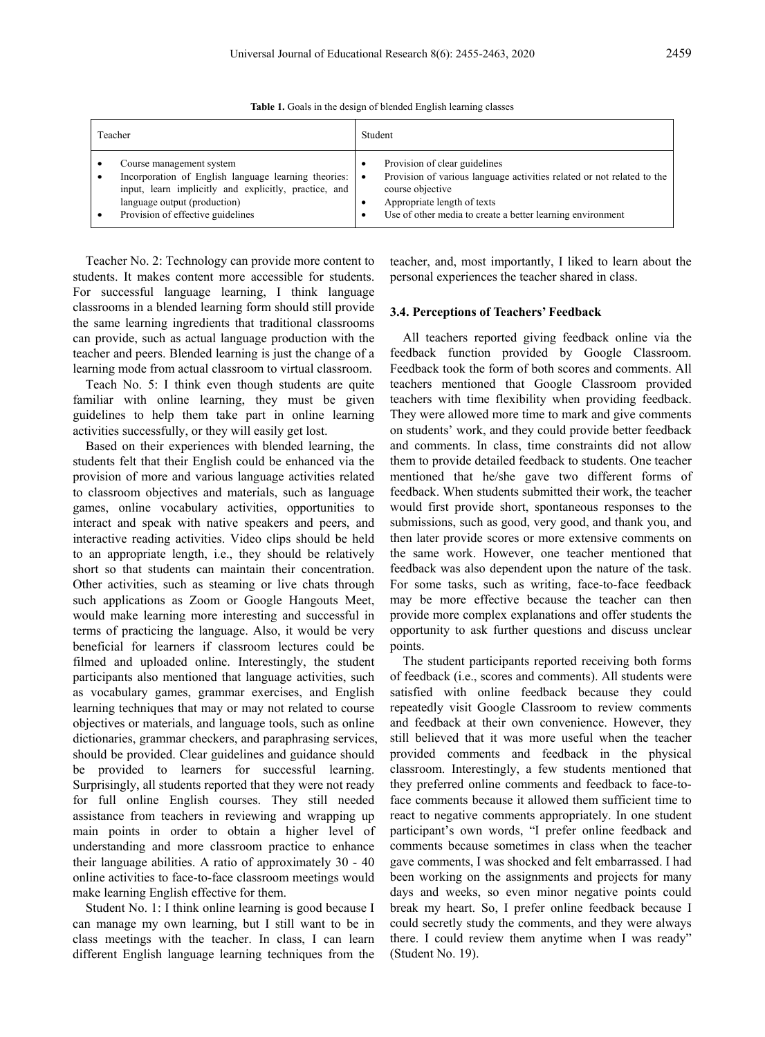**Table 1.** Goals in the design of blended English learning classes

| Teacher                                                        | Student                                                                |
|----------------------------------------------------------------|------------------------------------------------------------------------|
| Course management system                                       | Provision of clear guidelines                                          |
| Incorporation of English language learning theories: $\bullet$ | Provision of various language activities related or not related to the |
| input, learn implicitly and explicitly, practice, and          | course objective                                                       |
| language output (production)                                   | Appropriate length of texts                                            |
| Provision of effective guidelines                              | Use of other media to create a better learning environment             |

Teacher No. 2: Technology can provide more content to students. It makes content more accessible for students. For successful language learning, I think language classrooms in a blended learning form should still provide the same learning ingredients that traditional classrooms can provide, such as actual language production with the teacher and peers. Blended learning is just the change of a learning mode from actual classroom to virtual classroom.

Teach No. 5: I think even though students are quite familiar with online learning, they must be given guidelines to help them take part in online learning activities successfully, or they will easily get lost.

Based on their experiences with blended learning, the students felt that their English could be enhanced via the provision of more and various language activities related to classroom objectives and materials, such as language games, online vocabulary activities, opportunities to interact and speak with native speakers and peers, and interactive reading activities. Video clips should be held to an appropriate length, i.e., they should be relatively short so that students can maintain their concentration. Other activities, such as steaming or live chats through such applications as Zoom or Google Hangouts Meet, would make learning more interesting and successful in terms of practicing the language. Also, it would be very beneficial for learners if classroom lectures could be filmed and uploaded online. Interestingly, the student participants also mentioned that language activities, such as vocabulary games, grammar exercises, and English learning techniques that may or may not related to course objectives or materials, and language tools, such as online dictionaries, grammar checkers, and paraphrasing services, should be provided. Clear guidelines and guidance should be provided to learners for successful learning. Surprisingly, all students reported that they were not ready for full online English courses. They still needed assistance from teachers in reviewing and wrapping up main points in order to obtain a higher level of understanding and more classroom practice to enhance their language abilities. A ratio of approximately 30 - 40 online activities to face-to-face classroom meetings would make learning English effective for them.

Student No. 1: I think online learning is good because I can manage my own learning, but I still want to be in class meetings with the teacher. In class, I can learn different English language learning techniques from the teacher, and, most importantly, I liked to learn about the personal experiences the teacher shared in class.

#### **3.4. Perceptions of Teachers' Feedback**

All teachers reported giving feedback online via the feedback function provided by Google Classroom. Feedback took the form of both scores and comments. All teachers mentioned that Google Classroom provided teachers with time flexibility when providing feedback. They were allowed more time to mark and give comments on students' work, and they could provide better feedback and comments. In class, time constraints did not allow them to provide detailed feedback to students. One teacher mentioned that he/she gave two different forms of feedback. When students submitted their work, the teacher would first provide short, spontaneous responses to the submissions, such as good, very good, and thank you, and then later provide scores or more extensive comments on the same work. However, one teacher mentioned that feedback was also dependent upon the nature of the task. For some tasks, such as writing, face-to-face feedback may be more effective because the teacher can then provide more complex explanations and offer students the opportunity to ask further questions and discuss unclear points.

The student participants reported receiving both forms of feedback (i.e., scores and comments). All students were satisfied with online feedback because they could repeatedly visit Google Classroom to review comments and feedback at their own convenience. However, they still believed that it was more useful when the teacher provided comments and feedback in the physical classroom. Interestingly, a few students mentioned that they preferred online comments and feedback to face-toface comments because it allowed them sufficient time to react to negative comments appropriately. In one student participant's own words, "I prefer online feedback and comments because sometimes in class when the teacher gave comments, I was shocked and felt embarrassed. I had been working on the assignments and projects for many days and weeks, so even minor negative points could break my heart. So, I prefer online feedback because I could secretly study the comments, and they were always there. I could review them anytime when I was ready" (Student No. 19).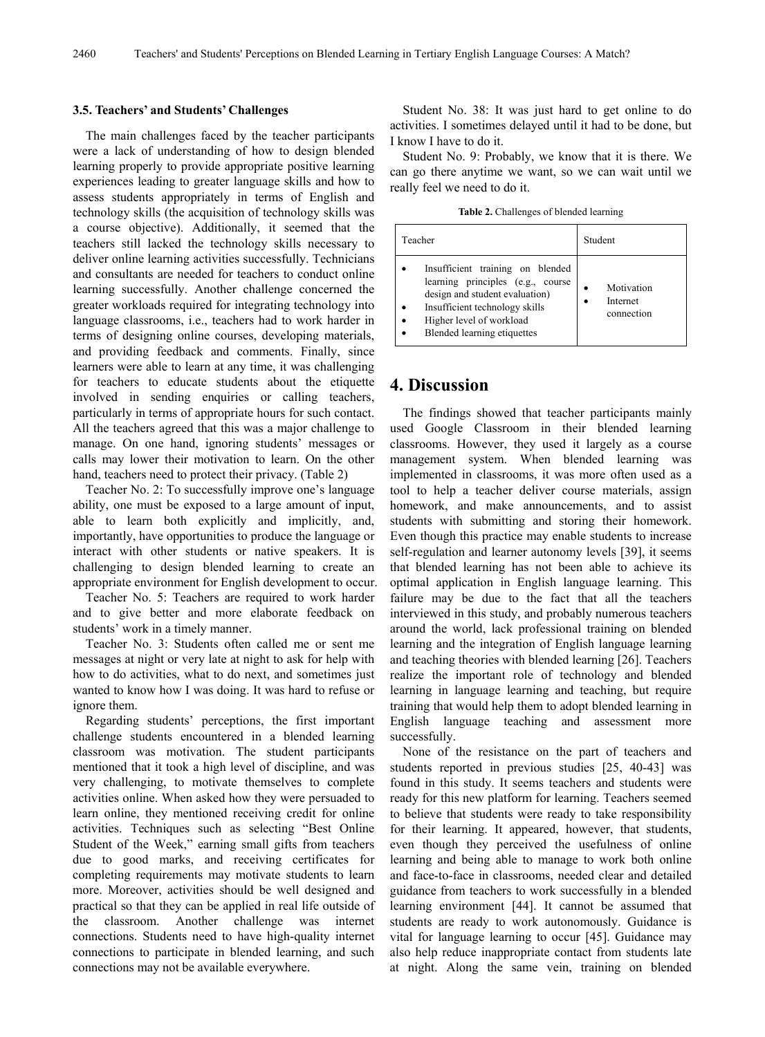### **3.5. Teachers' and Students' Challenges**

The main challenges faced by the teacher participants were a lack of understanding of how to design blended learning properly to provide appropriate positive learning experiences leading to greater language skills and how to assess students appropriately in terms of English and technology skills (the acquisition of technology skills was a course objective). Additionally, it seemed that the teachers still lacked the technology skills necessary to deliver online learning activities successfully. Technicians and consultants are needed for teachers to conduct online learning successfully. Another challenge concerned the greater workloads required for integrating technology into language classrooms, i.e., teachers had to work harder in terms of designing online courses, developing materials, and providing feedback and comments. Finally, since learners were able to learn at any time, it was challenging for teachers to educate students about the etiquette involved in sending enquiries or calling teachers, particularly in terms of appropriate hours for such contact. All the teachers agreed that this was a major challenge to manage. On one hand, ignoring students' messages or calls may lower their motivation to learn. On the other hand, teachers need to protect their privacy. (Table 2)

Teacher No. 2: To successfully improve one's language ability, one must be exposed to a large amount of input, able to learn both explicitly and implicitly, and, importantly, have opportunities to produce the language or interact with other students or native speakers. It is challenging to design blended learning to create an appropriate environment for English development to occur.

Teacher No. 5: Teachers are required to work harder and to give better and more elaborate feedback on students' work in a timely manner.

Teacher No. 3: Students often called me or sent me messages at night or very late at night to ask for help with how to do activities, what to do next, and sometimes just wanted to know how I was doing. It was hard to refuse or ignore them.

Regarding students' perceptions, the first important challenge students encountered in a blended learning classroom was motivation. The student participants mentioned that it took a high level of discipline, and was very challenging, to motivate themselves to complete activities online. When asked how they were persuaded to learn online, they mentioned receiving credit for online activities. Techniques such as selecting "Best Online Student of the Week," earning small gifts from teachers due to good marks, and receiving certificates for completing requirements may motivate students to learn more. Moreover, activities should be well designed and practical so that they can be applied in real life outside of the classroom. Another challenge was internet connections. Students need to have high-quality internet connections to participate in blended learning, and such connections may not be available everywhere.

Student No. 38: It was just hard to get online to do activities. I sometimes delayed until it had to be done, but I know I have to do it.

Student No. 9: Probably, we know that it is there. We can go there anytime we want, so we can wait until we really feel we need to do it.

**Table 2.** Challenges of blended learning

| Teacher                                                                                                                                                                                              | Student                              |
|------------------------------------------------------------------------------------------------------------------------------------------------------------------------------------------------------|--------------------------------------|
| Insufficient training on blended<br>learning principles (e.g., course<br>design and student evaluation)<br>Insufficient technology skills<br>Higher level of workload<br>Blended learning etiquettes | Motivation<br>Internet<br>connection |

### **4. Discussion**

The findings showed that teacher participants mainly used Google Classroom in their blended learning classrooms. However, they used it largely as a course management system. When blended learning was implemented in classrooms, it was more often used as a tool to help a teacher deliver course materials, assign homework, and make announcements, and to assist students with submitting and storing their homework. Even though this practice may enable students to increase self-regulation and learner autonomy levels [39], it seems that blended learning has not been able to achieve its optimal application in English language learning. This failure may be due to the fact that all the teachers interviewed in this study, and probably numerous teachers around the world, lack professional training on blended learning and the integration of English language learning and teaching theories with blended learning [26]. Teachers realize the important role of technology and blended learning in language learning and teaching, but require training that would help them to adopt blended learning in English language teaching and assessment more successfully.

None of the resistance on the part of teachers and students reported in previous studies [25, 40-43] was found in this study. It seems teachers and students were ready for this new platform for learning. Teachers seemed to believe that students were ready to take responsibility for their learning. It appeared, however, that students, even though they perceived the usefulness of online learning and being able to manage to work both online and face-to-face in classrooms, needed clear and detailed guidance from teachers to work successfully in a blended learning environment [44]. It cannot be assumed that students are ready to work autonomously. Guidance is vital for language learning to occur [45]. Guidance may also help reduce inappropriate contact from students late at night. Along the same vein, training on blended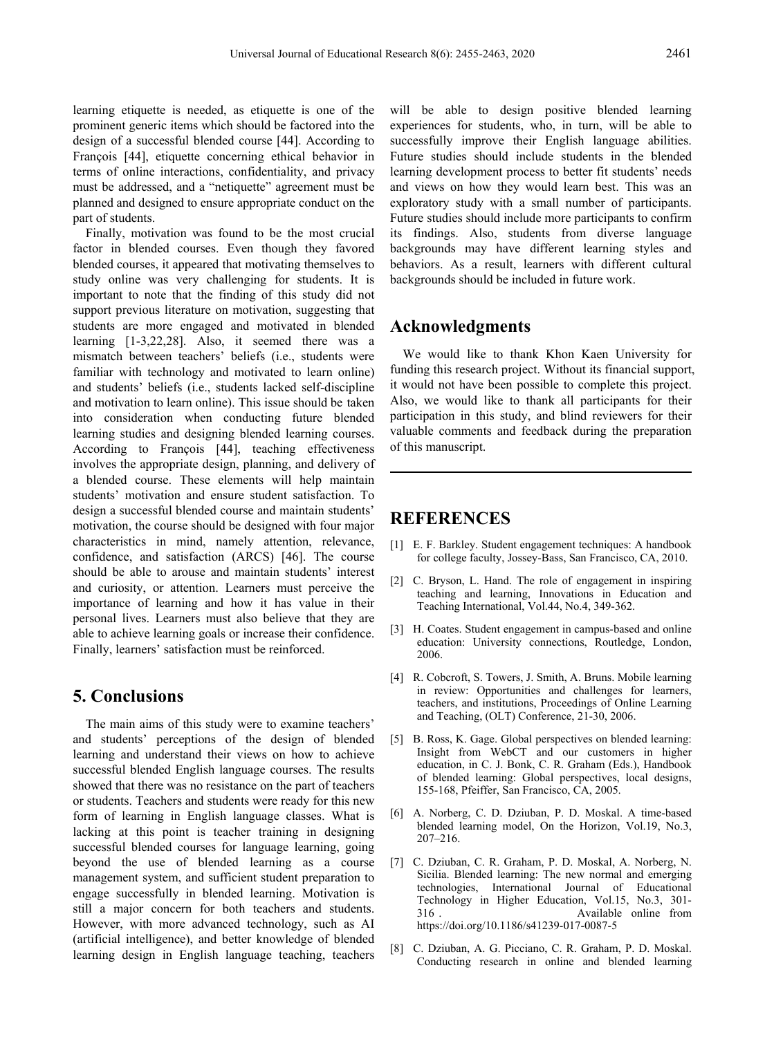learning etiquette is needed, as etiquette is one of the prominent generic items which should be factored into the design of a successful blended course [44]. According to François [44], etiquette concerning ethical behavior in terms of online interactions, confidentiality, and privacy must be addressed, and a "netiquette" agreement must be planned and designed to ensure appropriate conduct on the part of students.

Finally, motivation was found to be the most crucial factor in blended courses. Even though they favored blended courses, it appeared that motivating themselves to study online was very challenging for students. It is important to note that the finding of this study did not support previous literature on motivation, suggesting that students are more engaged and motivated in blended learning [1-3,22,28]. Also, it seemed there was a mismatch between teachers' beliefs (i.e., students were familiar with technology and motivated to learn online) and students' beliefs (i.e., students lacked self-discipline and motivation to learn online). This issue should be taken into consideration when conducting future blended learning studies and designing blended learning courses. According to François [44], teaching effectiveness involves the appropriate design, planning, and delivery of a blended course. These elements will help maintain students' motivation and ensure student satisfaction. To design a successful blended course and maintain students' motivation, the course should be designed with four major characteristics in mind, namely attention, relevance, confidence, and satisfaction (ARCS) [46]. The course should be able to arouse and maintain students' interest and curiosity, or attention. Learners must perceive the importance of learning and how it has value in their personal lives. Learners must also believe that they are able to achieve learning goals or increase their confidence. Finally, learners' satisfaction must be reinforced.

# **5. Conclusions**

The main aims of this study were to examine teachers' and students' perceptions of the design of blended learning and understand their views on how to achieve successful blended English language courses. The results showed that there was no resistance on the part of teachers or students. Teachers and students were ready for this new form of learning in English language classes. What is lacking at this point is teacher training in designing successful blended courses for language learning, going beyond the use of blended learning as a course management system, and sufficient student preparation to engage successfully in blended learning. Motivation is still a major concern for both teachers and students. However, with more advanced technology, such as AI (artificial intelligence), and better knowledge of blended learning design in English language teaching, teachers will be able to design positive blended learning experiences for students, who, in turn, will be able to successfully improve their English language abilities. Future studies should include students in the blended learning development process to better fit students' needs and views on how they would learn best. This was an exploratory study with a small number of participants. Future studies should include more participants to confirm its findings. Also, students from diverse language backgrounds may have different learning styles and behaviors. As a result, learners with different cultural backgrounds should be included in future work.

## **Acknowledgments**

We would like to thank Khon Kaen University for funding this research project. Without its financial support, it would not have been possible to complete this project. Also, we would like to thank all participants for their participation in this study, and blind reviewers for their valuable comments and feedback during the preparation of this manuscript.

### **REFERENCES**

- [1] E. F. Barkley. Student engagement techniques: A handbook for college faculty, Jossey-Bass, San Francisco, CA, 2010.
- [2] C. Bryson, L. Hand. The role of engagement in inspiring teaching and learning, Innovations in Education and Teaching International, Vol.44, No.4, 349-362.
- [3] H. Coates. Student engagement in campus-based and online education: University connections, Routledge, London, 2006.
- [4] R. Cobcroft, S. Towers, J. Smith, A. Bruns. Mobile learning in review: Opportunities and challenges for learners, teachers, and institutions, Proceedings of Online Learning and Teaching, (OLT) Conference, 21-30, 2006.
- [5] B. Ross, K. Gage. Global perspectives on blended learning: Insight from WebCT and our customers in higher education, in C. J. Bonk, C. R. Graham (Eds.), Handbook of blended learning: Global perspectives, local designs, 155-168, Pfeiffer, San Francisco, CA, 2005.
- [6] A. Norberg, C. D. Dziuban, P. D. Moskal. A time-based blended learning model, On the Horizon, Vol.19, No.3, 207–216.
- [7] C. Dziuban, C. R. Graham, P. D. Moskal, A. Norberg, N. Sicilia. Blended learning: The new normal and emerging technologies, International Journal of Educational Technology in Higher Education, Vol.15, No.3, 301- 316 . Available online from https://doi.org/10.1186/s41239-017-0087-5
- [8] C. Dziuban, A. G. Picciano, C. R. Graham, P. D. Moskal. Conducting research in online and blended learning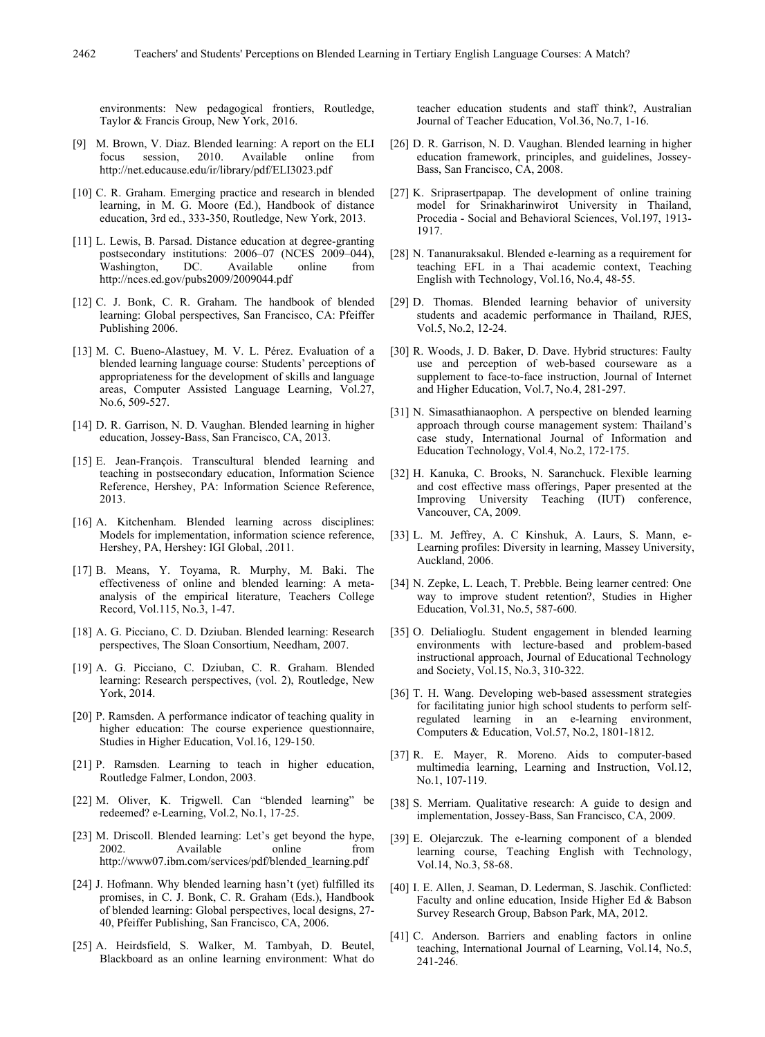environments: New pedagogical frontiers, Routledge, Taylor & Francis Group, New York, 2016.

- [9] M. Brown, V. Diaz. Blended learning: A report on the ELI focus session, 2010. Available online from <http://net.educause.edu/ir/library/pdf/ELI3023.pdf>
- [10] C. R. Graham. Emerging practice and research in blended learning, in M. G. Moore (Ed.), Handbook of distance education, 3rd ed., 333-350, Routledge, New York, 2013.
- [11] L. Lewis, B. Parsad. Distance education at degree-granting postsecondary institutions: 2006–07 (NCES 2009–044), Washington, DC. Available online from http://nces.ed.gov/pubs2009/2009044.pdf
- [12] C. J. Bonk, C. R. Graham. The handbook of blended learning: Global perspectives, San Francisco, CA: Pfeiffer Publishing 2006.
- [13] M. C. Bueno-Alastuey, M. V. L. Pérez. Evaluation of a blended learning language course: Students' perceptions of appropriateness for the development of skills and language areas, Computer Assisted Language Learning, Vol.27, No.6, 509-527.
- [14] D. R. Garrison, N. D. Vaughan. Blended learning in higher education, Jossey-Bass, San Francisco, CA, 2013.
- [15] E. Jean-François. Transcultural blended learning and teaching in postsecondary education, Information Science Reference, Hershey, PA: Information Science Reference, 2013.
- [16] A. Kitchenham. Blended learning across disciplines: Models for implementation, information science reference, Hershey, PA, Hershey: IGI Global, .2011.
- [17] B. Means, Y. Toyama, R. Murphy, M. Baki. The effectiveness of online and blended learning: A metaanalysis of the empirical literature, Teachers College Record, Vol.115, No.3, 1-47.
- [18] A. G. Picciano, C. D. Dziuban. Blended learning: Research perspectives, The Sloan Consortium, Needham, 2007.
- [19] A. G. Picciano, C. Dziuban, C. R. Graham. Blended learning: Research perspectives, (vol. 2), Routledge, New York, 2014.
- [20] P. Ramsden. A performance indicator of teaching quality in higher education: The course experience questionnaire, Studies in Higher Education, Vol.16, 129-150.
- [21] P. Ramsden. Learning to teach in higher education, Routledge Falmer, London, 2003.
- [22] M. Oliver, K. Trigwell. Can "blended learning" be redeemed? e-Learning, Vol.2, No.1, 17-25.
- [23] M. Driscoll. Blended learning: Let's get beyond the hype, 2002. Available online from http://www07.ibm.com/services/pdf/blended\_learning.pdf
- [24] J. Hofmann. Why blended learning hasn't (yet) fulfilled its promises, in C. J. Bonk, C. R. Graham (Eds.), Handbook of blended learning: Global perspectives, local designs, 27- 40, Pfeiffer Publishing, San Francisco, CA, 2006.
- [25] A. Heirdsfield, S. Walker, M. Tambyah, D. Beutel, Blackboard as an online learning environment: What do

teacher education students and staff think?, Australian Journal of Teacher Education, Vol.36, No.7, 1-16.

- [26] D. R. Garrison, N. D. Vaughan. Blended learning in higher education framework, principles, and guidelines, Jossey-Bass, San Francisco, CA, 2008.
- [27] K. Sriprasertpapap. The development of online training model for Srinakharinwirot University in Thailand, Procedia - Social and Behavioral Sciences, Vol.197, 1913- 1917.
- [28] N. Tananuraksakul. Blended e-learning as a requirement for teaching EFL in a Thai academic context, Teaching English with Technology, Vol.16, No.4, 48-55.
- [29] D. Thomas. Blended learning behavior of university students and academic performance in Thailand, RJES, Vol.5, No.2, 12-24.
- [30] R. Woods, J. D. Baker, D. Dave. Hybrid structures: Faulty use and perception of web-based courseware as a supplement to face-to-face instruction, Journal of Internet and Higher Education, Vol.7, No.4, 281-297.
- [31] N. Simasathianaophon. A perspective on blended learning approach through course management system: Thailand's case study, International Journal of Information and Education Technology, Vol.4, No.2, 172-175.
- [32] H. Kanuka, C. Brooks, N. Saranchuck. Flexible learning and cost effective mass offerings, Paper presented at the Improving University Teaching (IUT) conference, Vancouver, CA, 2009.
- [33] L. M. Jeffrey, A. C Kinshuk, A. Laurs, S. Mann, e-Learning profiles: Diversity in learning, Massey University, Auckland, 2006.
- [34] N. Zepke, L. Leach, T. Prebble. Being learner centred: One way to improve student retention?, Studies in Higher Education, Vol.31, No.5, 587-600.
- [35] O. Delialioglu. Student engagement in blended learning environments with lecture-based and problem-based instructional approach, Journal of Educational Technology and Society, Vol.15, No.3, 310-322.
- [36] T. H. Wang. Developing web-based assessment strategies for facilitating junior high school students to perform selfregulated learning in an e-learning environment, Computers & Education, Vol.57, No.2, 1801-1812.
- [37] R. E. Mayer, R. Moreno. Aids to computer-based multimedia learning, Learning and Instruction, Vol.12, No.1, 107-119.
- [38] S. Merriam. Qualitative research: A guide to design and implementation, Jossey-Bass, San Francisco, CA, 2009.
- [39] E. Olejarczuk. The e-learning component of a blended learning course, Teaching English with Technology, Vol.14, No.3, 58-68.
- [40] I. E. Allen, J. Seaman, D. Lederman, S. Jaschik. Conflicted: Faculty and online education, Inside Higher Ed & Babson Survey Research Group, Babson Park, MA, 2012.
- [41] C. Anderson. Barriers and enabling factors in online teaching, International Journal of Learning, Vol.14, No.5, 241-246.